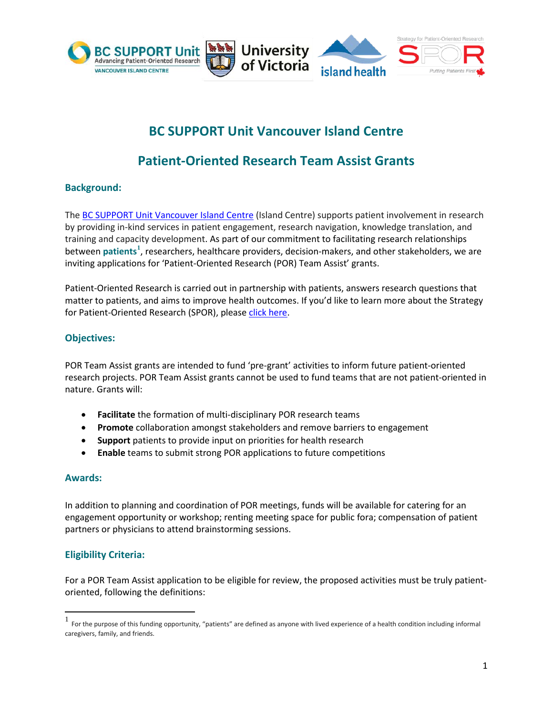

# **BC SUPPORT Unit Vancouver Island Centre**

# **Patient-Oriented Research Team Assist Grants**

## **Background:**

The [BC SUPPORT Unit Vancouver Island Centre](https://bcsupportunit.ca/vancouver-island-centre) (Island Centre) supports patient involvement in research by providing in-kind services in patient engagement, research navigation, knowledge translation, and training and capacity development. As part of our commitment to facilitating research relationships between patients<sup>[1](#page-0-0)</sup>, researchers, healthcare providers, decision-makers, and other stakeholders, we are inviting applications for 'Patient-Oriented Research (POR) Team Assist' grants.

Patient-Oriented Research is carried out in partnership with patients, answers research questions that matter to patients, and aims to improve health outcomes. If you'd like to learn more about the Strategy for Patient-Oriented Research (SPOR), pleas[e click here.](http://www.cihr-irsc.gc.ca/e/41204.html)

### **Objectives:**

POR Team Assist grants are intended to fund 'pre-grant' activities to inform future patient-oriented research projects. POR Team Assist grants cannot be used to fund teams that are not patient-oriented in nature. Grants will:

- **Facilitate** the formation of multi-disciplinary POR research teams
- **Promote** collaboration amongst stakeholders and remove barriers to engagement
- **Support** patients to provide input on priorities for health research
- **Enable** teams to submit strong POR applications to future competitions

#### **Awards:**

 $\overline{\phantom{a}}$ 

In addition to planning and coordination of POR meetings, funds will be available for catering for an engagement opportunity or workshop; renting meeting space for public fora; compensation of patient partners or physicians to attend brainstorming sessions.

### **Eligibility Criteria:**

For a POR Team Assist application to be eligible for review, the proposed activities must be truly patientoriented, following the definitions:

<span id="page-0-0"></span><sup>1</sup> For the purpose of this funding opportunity, "patients" are defined as anyone with lived experience of a health condition including informal caregivers, family, and friends.